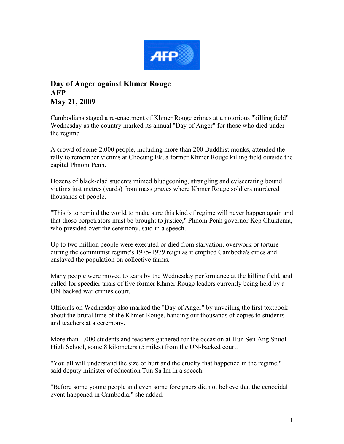

## **Day of Anger against Khmer Rouge AFP May 21, 2009**

Cambodians staged a re-enactment of Khmer Rouge crimes at a notorious "killing field" Wednesday as the country marked its annual "Day of Anger" for those who died under the regime.

A crowd of some 2,000 people, including more than 200 Buddhist monks, attended the rally to remember victims at Choeung Ek, a former Khmer Rouge killing field outside the capital Phnom Penh.

Dozens of black-clad students mimed bludgeoning, strangling and eviscerating bound victims just metres (yards) from mass graves where Khmer Rouge soldiers murdered thousands of people.

"This is to remind the world to make sure this kind of regime will never happen again and that those perpetrators must be brought to justice," Phnom Penh governor Kep Chuktema, who presided over the ceremony, said in a speech.

Up to two million people were executed or died from starvation, overwork or torture during the communist regime's 1975-1979 reign as it emptied Cambodia's cities and enslaved the population on collective farms.

Many people were moved to tears by the Wednesday performance at the killing field, and called for speedier trials of five former Khmer Rouge leaders currently being held by a UN-backed war crimes court.

Officials on Wednesday also marked the "Day of Anger" by unveiling the first textbook about the brutal time of the Khmer Rouge, handing out thousands of copies to students and teachers at a ceremony.

More than 1,000 students and teachers gathered for the occasion at Hun Sen Ang Snuol High School, some 8 kilometers (5 miles) from the UN-backed court.

"You all will understand the size of hurt and the cruelty that happened in the regime," said deputy minister of education Tun Sa Im in a speech.

"Before some young people and even some foreigners did not believe that the genocidal event happened in Cambodia," she added.